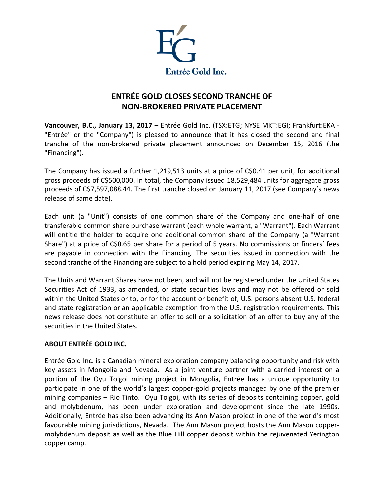

## **ENTRÉE GOLD CLOSES SECOND TRANCHE OF NON-BROKERED PRIVATE PLACEMENT**

**Vancouver, B.C., January 13, 2017** – Entrée Gold Inc. (TSX:ETG; NYSE MKT:EGI; Frankfurt:EKA - "Entrée" or the "Company") is pleased to announce that it has closed the second and final tranche of the non-brokered private placement announced on December 15, 2016 (the "Financing").

The Company has issued a further 1,219,513 units at a price of C\$0.41 per unit, for additional gross proceeds of C\$500,000. In total, the Company issued 18,529,484 units for aggregate gross proceeds of C\$7,597,088.44. The first tranche closed on January 11, 2017 (see Company's news release of same date).

Each unit (a "Unit") consists of one common share of the Company and one-half of one transferable common share purchase warrant (each whole warrant, a "Warrant"). Each Warrant will entitle the holder to acquire one additional common share of the Company (a "Warrant Share") at a price of C\$0.65 per share for a period of 5 years. No commissions or finders' fees are payable in connection with the Financing. The securities issued in connection with the second tranche of the Financing are subject to a hold period expiring May 14, 2017.

The Units and Warrant Shares have not been, and will not be registered under the United States Securities Act of 1933, as amended, or state securities laws and may not be offered or sold within the United States or to, or for the account or benefit of, U.S. persons absent U.S. federal and state registration or an applicable exemption from the U.S. registration requirements. This news release does not constitute an offer to sell or a solicitation of an offer to buy any of the securities in the United States.

## **ABOUT ENTRÉE GOLD INC.**

Entrée Gold Inc. is a Canadian mineral exploration company balancing opportunity and risk with key assets in Mongolia and Nevada. As a joint venture partner with a carried interest on a portion of the Oyu Tolgoi mining project in Mongolia, Entrée has a unique opportunity to participate in one of the world's largest copper-gold projects managed by one of the premier mining companies – Rio Tinto. Oyu Tolgoi, with its series of deposits containing copper, gold and molybdenum, has been under exploration and development since the late 1990s. Additionally, Entrée has also been advancing its Ann Mason project in one of the world's most favourable mining jurisdictions, Nevada. The Ann Mason project hosts the Ann Mason coppermolybdenum deposit as well as the Blue Hill copper deposit within the rejuvenated Yerington copper camp.